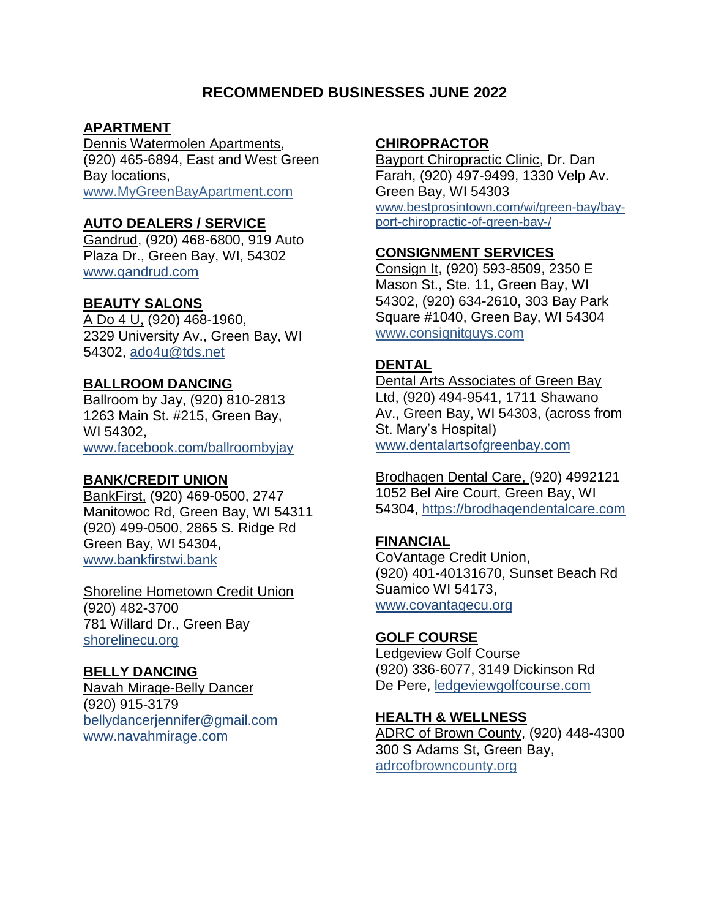# **RECOMMENDED BUSINESSES JUNE 2022**

# **APARTMENT**

Dennis Watermolen Apartments, (920) 465-6894, East and West Green Bay locations, [www.MyGreenBayApartment.com](http://www.mygreenbayapartment.com/)

# **AUTO DEALERS / SERVICE**

Gandrud, (920) 468-6800, 919 Auto Plaza Dr., Green Bay, WI, 54302 [www.gandrud.com](http://www.gandrud.com/)

## **BEAUTY SALONS**

A Do 4 U, (920) 468-1960, 2329 University Av., Green Bay, WI 54302, [ado4u@tds.net](mailto:ado4u@tds.net)

# **BALLROOM DANCING**

Ballroom by Jay, (920) 810-2813 1263 Main St. #215, Green Bay, WI 54302, www.facebook.com/ballroombyjay

## **BANK/CREDIT UNION**

BankFirst, (920) 469-0500, 2747 Manitowoc Rd, Green Bay, WI 54311 (920) 499-0500, 2865 S. Ridge Rd Green Bay, WI 54304, www.bankfirstwi.bank

Shoreline Hometown Credit Union (920) 482-3700 781 Willard Dr., Green Bay shorelinecu.org

## **BELLY DANCING**

Navah Mirage-Belly Dancer (920) 915-3179 [bellydancerjennifer@gmail.com](mailto:bellydancerjennifer@gmail.com) [www.navahmirage.com](http://www.navahmirage.com/)

### **CHIROPRACTOR**

Bayport Chiropractic Clinic, Dr. Dan Farah, (920) 497-9499, 1330 Velp Av. Green Bay, WI 54303 www.bestprosintown.com/wi/green-bay/bayport-chiropractic-of-green-bay-/

## **CONSIGNMENT SERVICES**

[Consign It,](http://www.consignitguys.com/) (920) 593-8509, 2350 E Mason St., Ste. 11, Green Bay, WI 54302, (920) 634-2610, 303 Bay Park Square #1040, Green Bay, WI 54304 [www.consignitguys.com](http://www.consignitguys.com/)

# **DENTAL**

Dental Arts Associates of Green Bay Ltd, (920) 494-9541, 1711 Shawano Av., Green Bay, WI 54303, (across from St. Mary's Hospital) [www.dentalartsofgreenbay.com](http://www.dentalartsofgreenbay.com/)

Brodhagen Dental Care, (920) 4992121 1052 Bel Aire Court, Green Bay, WI 54304, https://brodhagendentalcare.com

# **FINANCIAL**

CoVantage Credit Union, (920) 401-40131670, Sunset Beach Rd Suamico WI 54173, [www.covantagecu.org](http://www.covantagecu.org/)

## **GOLF COURSE**

Ledgeview Golf Course (920) 336-6077, 3149 Dickinson Rd De Pere, ledgeviewgolfcourse.com

#### **HEALTH & WELLNESS**

ADRC of Brown County, (920) 448-4300 300 S Adams St, Green Bay, adrcofbrowncounty.org